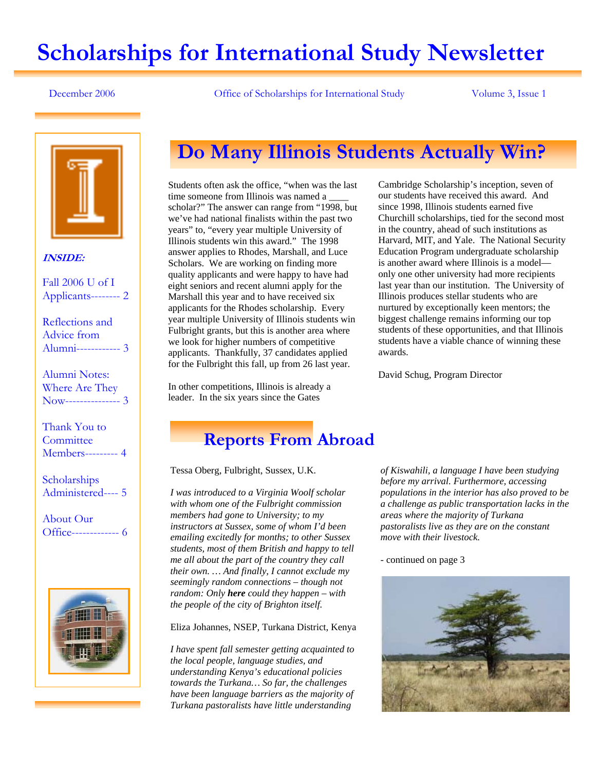# **Scholarships for International Study Newsletter**

December 2006 Office of Scholarships for International Study Volume 3, Issue 1



### **INSIDE:**

Fall 2006 U of I Applicants-------- 2

Reflections and Advice from Alumni------------ 3

Alumni Notes: Where Are They Now--------------- 3

Thank You to **Committee** Members--------- 4

**Scholarships** Administered---- 5

About Our Office------------- 6



# **Do Many Illinois Students Actually Win?**

Students often ask the office, "when was the last time someone from Illinois was named a \_\_\_\_ scholar?" The answer can range from "1998, but we've had national finalists within the past two years" to, "every year multiple University of Illinois students win this award." The 1998 answer applies to Rhodes, Marshall, and Luce Scholars. We are working on finding more quality applicants and were happy to have had eight seniors and recent alumni apply for the Marshall this year and to have received six applicants for the Rhodes scholarship. Every year multiple University of Illinois students win Fulbright grants, but this is another area where we look for higher numbers of competitive applicants. Thankfully, 37 candidates applied for the Fulbright this fall, up from 26 last year.

In other competitions, Illinois is already a leader. In the six years since the Gates

Cambridge Scholarship's inception, seven of our students have received this award. And since 1998, Illinois students earned five Churchill scholarships, tied for the second most in the country, ahead of such institutions as Harvard, MIT, and Yale. The National Security Education Program undergraduate scholarship is another award where Illinois is a model only one other university had more recipients last year than our institution. The University of Illinois produces stellar students who are nurtured by exceptionally keen mentors; the biggest challenge remains informing our top students of these opportunities, and that Illinois students have a viable chance of winning these awards.

David Schug, Program Director

## **Reports From Abroad**

Tessa Oberg, Fulbright, Sussex, U.K.

*I was introduced to a Virginia Woolf scholar with whom one of the Fulbright commission members had gone to University; to my instructors at Sussex, some of whom I'd been emailing excitedly for months; to other Sussex students, most of them British and happy to tell me all about the part of the country they call their own. … And finally, I cannot exclude my seemingly random connections – though not random: Only here could they happen – with the people of the city of Brighton itself.* 

Eliza Johannes, NSEP, Turkana District, Kenya

*I have spent fall semester getting acquainted to the local people, language studies, and understanding Kenya's educational policies towards the Turkana… So far, the challenges have been language barriers as the majority of Turkana pastoralists have little understanding* 

*of Kiswahili, a language I have been studying before my arrival. Furthermore, accessing populations in the interior has also proved to be a challenge as public transportation lacks in the areas where the majority of Turkana pastoralists live as they are on the constant move with their livestock.* 

- continued on page 3

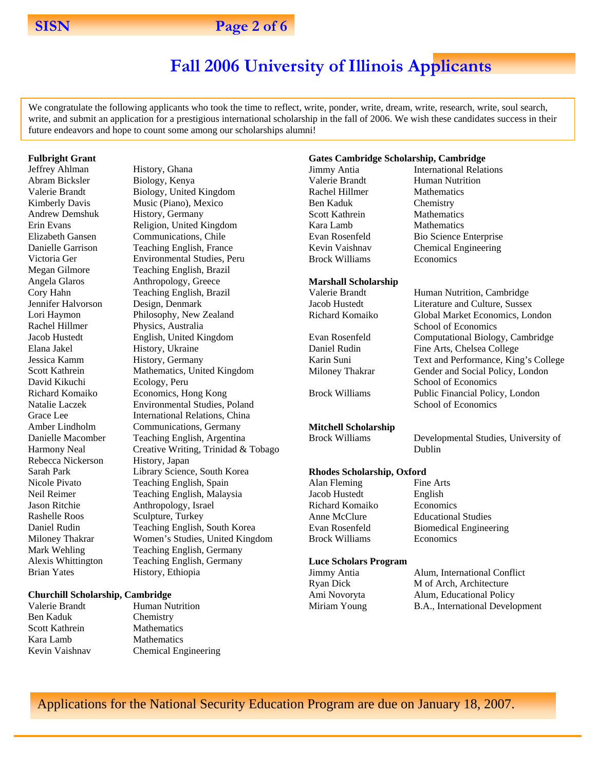

### **SISN** Page 2 of 6

# **Fall 2006 University of Illinois Applicants**

We congratulate the following applicants who took the time to reflect, write, ponder, write, dream, write, research, write, soul search, write, and submit an application for a prestigious international scholarship in the fall of 2006. We wish these candidates success in their future endeavors and hope to count some among our scholarships alumni!

#### **Fulbright Grant**

Jeffrey Ahlman History, Ghana Abram Bicksler Biology, Kenya Andrew Demshuk History, Germany Jennifer Halvorson Design, Denmark Rachel Hillmer Physics, Australia Elana Jakel History, Ukraine Jessica Kamm History, Germany David Kikuchi Ecology, Peru Rebecca Nickerson History, Japan Rashelle Roos Sculpture, Turkey Brian Yates History, Ethiopia

Valerie Brandt Biology, United Kingdom Kimberly Davis Music (Piano), Mexico Erin Evans Religion, United Kingdom Elizabeth Gansen Communications, Chile Danielle Garrison Teaching English, France Victoria Ger Environmental Studies, Peru Megan Gilmore Teaching English, Brazil Angela Glaros Anthropology, Greece Cory Hahn Teaching English, Brazil Lori Haymon Philosophy, New Zealand Jacob Hustedt English, United Kingdom Scott Kathrein Mathematics, United Kingdom Richard Komaiko Economics, Hong Kong Natalie Laczek Environmental Studies, Poland Grace Lee **International Relations**, China Amber Lindholm Communications, Germany Danielle Macomber Teaching English, Argentina Harmony Neal Creative Writing, Trinidad & Tobago Sarah Park Library Science, South Korea Nicole Pivato Teaching English, Spain Neil Reimer Teaching English, Malaysia Jason Ritchie Anthropology, Israel Daniel Rudin Teaching English, South Korea Miloney Thakrar Women's Studies, United Kingdom Mark Wehling Teaching English, Germany Alexis Whittington Teaching English, Germany

#### **Churchill Scholarship, Cambridge**

Valerie Brandt Human Nutrition Ben Kaduk Chemistry Scott Kathrein Mathematics Kara Lamb Mathematics Kevin Vaishnav Chemical Engineering

#### **Gates Cambridge Scholarship, Cambridge**

**Jimmy Antia** International Relations Valerie Brandt Human Nutrition Rachel Hillmer Mathematics Ben Kaduk Chemistry Scott Kathrein Mathematics Kara Lamb Mathematics Evan Rosenfeld Bio Science Enterprise Kevin Vaishnav Chemical Engineering Brock Williams Economics

#### **Marshall Scholarship**

Valerie Brandt Human Nutrition, Cambridge Jacob Hustedt Literature and Culture, Sussex Richard Komaiko Global Market Economics, London School of Economics Evan Rosenfeld Computational Biology, Cambridge Daniel Rudin Fine Arts, Chelsea College Karin Suni Text and Performance, King's College Miloney Thakrar Gender and Social Policy, London School of Economics Brock Williams Public Financial Policy, London School of Economics

### **Mitchell Scholarship**

Brock Williams Developmental Studies, University of

#### **Rhodes Scholarship, Oxford**

Alan Fleming Fine Arts Jacob Hustedt English Richard Komaiko Economics Anne McClure Educational Studies Evan Rosenfeld Biomedical Engineering Brock Williams Economics

#### **Luce Scholars Program**

| Jimmy Antia  | Alum, International Conflict    |
|--------------|---------------------------------|
| Ryan Dick    | M of Arch, Architecture         |
| Ami Novoryta | Alum, Educational Policy        |
| Miriam Young | B.A., International Development |

Dublin

Applications for the National Security Education Program are due on January 18, 2007.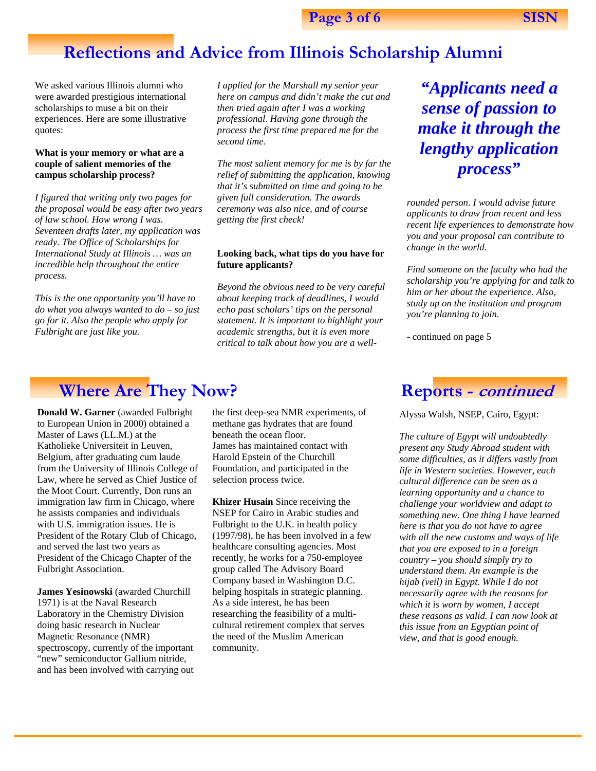# **Reflections and Advice from Illinois Scholarship Alumni**

We asked various Illinois alumni who were awarded prestigious international scholarships to muse a bit on their experiences. Here are some illustrative quotes:

#### **What is your memory or what are a couple of salient memories of the campus scholarship process?**

*I figured that writing only two pages for the proposal would be easy after two years of law school. How wrong I was. Seventeen drafts later, my application was ready. The Office of Scholarships for International Study at Illinois … was an incredible help throughout the entire process.* 

*This is the one opportunity you'll have to do what you always wanted to do – so just go for it. Also the people who apply for Fulbright are just like you.* 

*I applied for the Marshall my senior year here on campus and didn't make the cut and then tried again after I was a working professional. Having gone through the process the first time prepared me for the second time.* 

*The most salient memory for me is by far the relief of submitting the application, knowing that it's submitted on time and going to be given full consideration. The awards ceremony was also nice, and of course getting the first check!* 

#### **Looking back, what tips do you have for future applicants?**

*Beyond the obvious need to be very careful about keeping track of deadlines, I would echo past scholars' tips on the personal statement. It is important to highlight your academic strengths, but it is even more critical to talk about how you are a well-*

*"Applicants need a sense of passion to make it through the lengthy application process"* 

*rounded person. I would advise future applicants to draw from recent and less recent life experiences to demonstrate how you and your proposal can contribute to change in the world.* 

*Find someone on the faculty who had the scholarship you're applying for and talk to him or her about the experience. Also, study up on the institution and program you're planning to join.* 

- continued on page 5

# **Where Are They Now?** Reports - *continued*

**Donald W. Garner** (awarded Fulbright to European Union in 2000) obtained a Master of Laws (LL.M.) at the Katholieke Universiteit in Leuven, Belgium, after graduating cum laude from the University of Illinois College of Law, where he served as Chief Justice of the Moot Court. Currently, Don runs an immigration law firm in Chicago, where he assists companies and individuals with U.S. immigration issues. He is President of the Rotary Club of Chicago, and served the last two years as President of the Chicago Chapter of the Fulbright Association.

**James Yesinowski** (awarded Churchill 1971) is at the Naval Research Laboratory in the Chemistry Division doing basic research in Nuclear Magnetic Resonance (NMR) spectroscopy, currently of the important "new" semiconductor Gallium nitride, and has been involved with carrying out the first deep-sea NMR experiments, of methane gas hydrates that are found beneath the ocean floor. James has maintained contact with Harold Epstein of the Churchill Foundation, and participated in the selection process twice.

**Khizer Husain** Since receiving the NSEP for Cairo in Arabic studies and Fulbright to the U.K. in health policy (1997/98), he has been involved in a few healthcare consulting agencies. Most recently, he works for a 750-employee group called The Advisory Board Company based in Washington D.C. helping hospitals in strategic planning. As a side interest, he has been researching the feasibility of a multicultural retirement complex that serves the need of the Muslim American community.

Alyssa Walsh, NSEP, Cairo, Egypt:

*The culture of Egypt will undoubtedly present any Study Abroad student with some difficulties, as it differs vastly from life in Western societies. However, each cultural difference can be seen as a learning opportunity and a chance to challenge your worldview and adapt to something new. One thing I have learned here is that you do not have to agree with all the new customs and ways of life that you are exposed to in a foreign country – you should simply try to understand them. An example is the hijab (veil) in Egypt. While I do not necessarily agree with the reasons for which it is worn by women, I accept these reasons as valid. I can now look at this issue from an Egyptian point of view, and that is good enough.*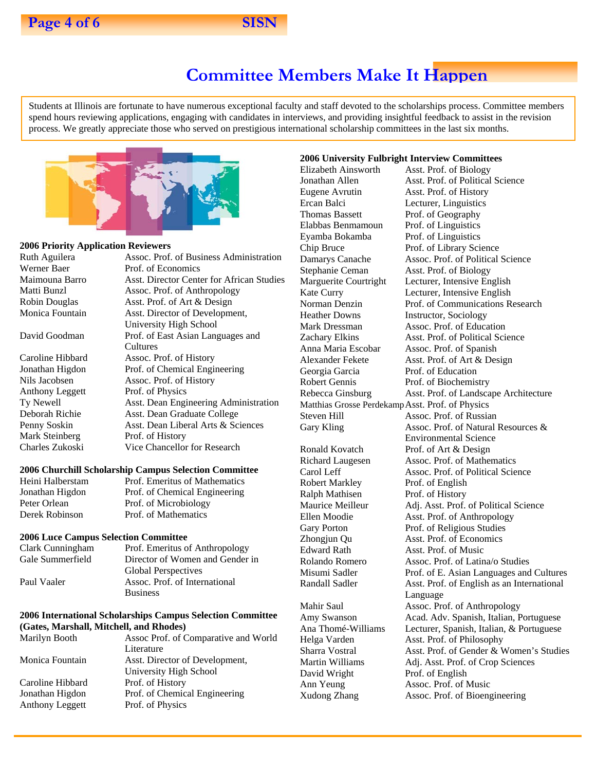## **Committee Members Make It Happen**

Students at Illinois are fortunate to have numerous exceptional faculty and staff devoted to the scholarships process. Committee members spend hours reviewing applications, engaging with candidates in interviews, and providing insightful feedback to assist in the revision process. We greatly appreciate those who served on prestigious international scholarship committees in the last six months.



Prof. of Economics

### **2006 Priority Application Reviewers**

Ruth Aguilera **Assoc.** Prof. of Business Administration<br>Werner Baer Prof. of Economics

Anthony Leggett Prof. of Physics<br>Ty Newell Asst. Dean Engi Mark Steinberg Prof. of History

Maimouna Barro Asst. Director Center for African Studies Matti Bunzl Assoc. Prof. of Anthropology Robin Douglas Asst. Prof. of Art & Design Monica Fountain Asst. Director of Development, University High School David Goodman Prof. of East Asian Languages and **Cultures** Caroline Hibbard Assoc. Prof. of History Jonathan Higdon Prof. of Chemical Engineering Nils Jacobsen Assoc. Prof. of History Asst. Dean Engineering Administration Deborah Richie Asst. Dean Graduate College Penny Soskin Asst. Dean Liberal Arts & Sciences Charles Zukoski Vice Chancellor for Research

#### **2006 Churchill Scholarship Campus Selection Committee**

Heini Halberstam Prof. Emeritus of Mathematics Jonathan Higdon Prof. of Chemical Engineering Peter Orlean Prof. of Microbiology Derek Robinson Prof. of Mathematics

#### **2006 Luce Campus Selection Committee**

Clark Cunningham Prof. Emeritus of Anthropology Gale Summerfield Director of Women and Gender in Global Perspectives Paul Vaaler Assoc. Prof. of International **Business** 

#### **2006 International Scholarships Campus Selection Committee (Gates, Marshall, Mitchell, and Rhodes)**

| Marilyn Booth          | Assoc Prof. of Comparative and World |
|------------------------|--------------------------------------|
|                        | Literature                           |
| Monica Fountain        | Asst. Director of Development,       |
|                        | University High School               |
| Caroline Hibbard       | Prof. of History                     |
| Jonathan Higdon        | Prof. of Chemical Engineering        |
| <b>Anthony Leggett</b> | Prof. of Physics                     |
|                        |                                      |

#### **2006 University Fulbright Interview Committees**

Eugene Avrutin Asst. Prof. of History Ercan Balci Lecturer, Linguistics Thomas Bassett Prof. of Geography Elabbas Benmamoun Prof. of Linguistics Eyamba Bokamba Prof. of Linguistics Chip Bruce Prof. of Library Science Stephanie Ceman Asst. Prof. of Biology Heather Downs Instructor, Sociology Georgia Garcia Prof. of Education Robert Gennis Prof. of Biochemistry Matthias Grosse Perdekamp Asst. Prof. of Physics Steven Hill Assoc. Prof. of Russian

Robert Markley Prof. of English Ralph Mathisen Prof. of History

David Wright Prof. of English Ann Yeung Assoc. Prof. of Music

Elizabeth Ainsworth Asst. Prof. of Biology Jonathan Allen Asst. Prof. of Political Science Damarys Canache Assoc. Prof. of Political Science Marguerite Courtright Lecturer, Intensive English Kate Curry Lecturer, Intensive English Norman Denzin Prof. of Communications Research Mark Dressman Assoc. Prof. of Education Zachary Elkins Asst. Prof. of Political Science<br>Anna Maria Escobar Assoc. Prof. of Spanish Assoc. Prof. of Spanish Alexander Fekete Asst. Prof. of Art & Design Rebecca Ginsburg Asst. Prof. of Landscape Architecture Gary Kling **Assoc.** Prof. of Natural Resources & Environmental Science Ronald Kovatch Prof. of Art & Design Richard Laugesen Assoc. Prof. of Mathematics Carol Leff Assoc. Prof. of Political Science Maurice Meilleur Adj. Asst. Prof. of Political Science Ellen Moodie Asst. Prof. of Anthropology Gary Porton Prof. of Religious Studies Zhongjun Qu Asst. Prof. of Economics Edward Rath Asst. Prof. of Music Rolando Romero Assoc. Prof. of Latina/o Studies Misumi Sadler Prof. of E. Asian Languages and Cultures Randall Sadler Asst. Prof. of English as an International Language Mahir Saul **Assoc.** Prof. of Anthropology Amy Swanson Acad. Adv. Spanish, Italian, Portuguese Ana Thomé-Williams Lecturer, Spanish, Italian, & Portuguese Helga Varden Asst. Prof. of Philosophy Sharra Vostral Asst. Prof. of Gender & Women's Studies Martin Williams Adj. Asst. Prof. of Crop Sciences Xudong Zhang Assoc. Prof. of Bioengineering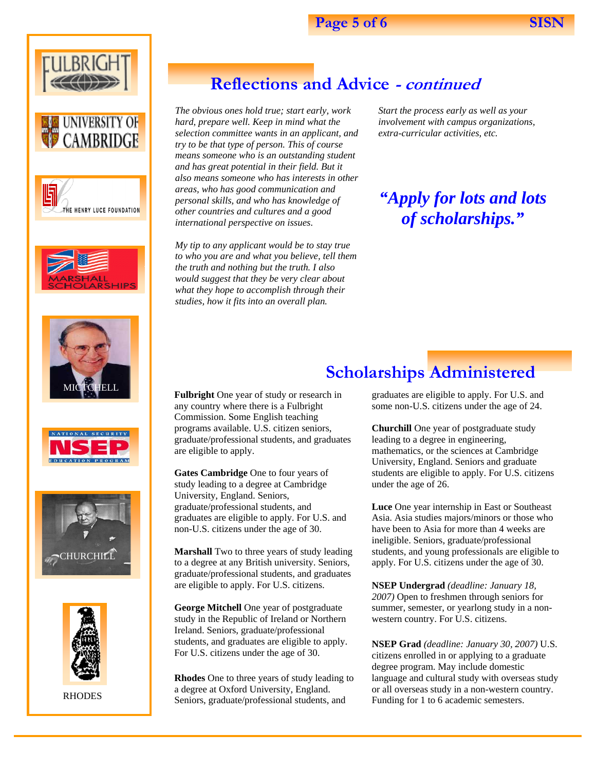















RHODES

# **Reflections and Advice - continued**

*The obvious ones hold true; start early, work hard, prepare well. Keep in mind what the selection committee wants in an applicant, and try to be that type of person. This of course means someone who is an outstanding student and has great potential in their field. But it also means someone who has interests in other areas, who has good communication and personal skills, and who has knowledge of other countries and cultures and a good international perspective on issues*.

*My tip to any applicant would be to stay true to who you are and what you believe, tell them the truth and nothing but the truth. I also would suggest that they be very clear about what they hope to accomplish through their studies, how it fits into an overall plan.* 

*Start the process early as well as your involvement with campus organizations, extra-curricular activities, etc.* 

*"Apply for lots and lots of scholarships."* 

# **Scholarships Administered**

**Fulbright** One year of study or research in any country where there is a Fulbright Commission. Some English teaching programs available. U.S. citizen seniors, graduate/professional students, and graduates are eligible to apply.

**Gates Cambridge** One to four years of study leading to a degree at Cambridge University, England. Seniors, graduate/professional students, and graduates are eligible to apply. For U.S. and non-U.S. citizens under the age of 30.

**Marshall** Two to three years of study leading to a degree at any British university. Seniors, graduate/professional students, and graduates are eligible to apply. For U.S. citizens.

**George Mitchell** One year of postgraduate study in the Republic of Ireland or Northern Ireland. Seniors, graduate/professional students, and graduates are eligible to apply. For U.S. citizens under the age of 30.

**Rhodes** One to three years of study leading to a degree at Oxford University, England. Seniors, graduate/professional students, and

graduates are eligible to apply. For U.S. and some non-U.S. citizens under the age of 24.

**Churchill** One year of postgraduate study leading to a degree in engineering, mathematics, or the sciences at Cambridge University, England. Seniors and graduate students are eligible to apply. For U.S. citizens under the age of 26.

**Luce** One year internship in East or Southeast Asia. Asia studies majors/minors or those who have been to Asia for more than 4 weeks are ineligible. Seniors, graduate/professional students, and young professionals are eligible to apply. For U.S. citizens under the age of 30.

**NSEP Undergrad** *(deadline: January 18, 2007)* Open to freshmen through seniors for summer, semester, or yearlong study in a nonwestern country. For U.S. citizens.

**NSEP Grad** *(deadline: January 30, 2007)* U.S. citizens enrolled in or applying to a graduate degree program. May include domestic language and cultural study with overseas study or all overseas study in a non-western country. Funding for 1 to 6 academic semesters.